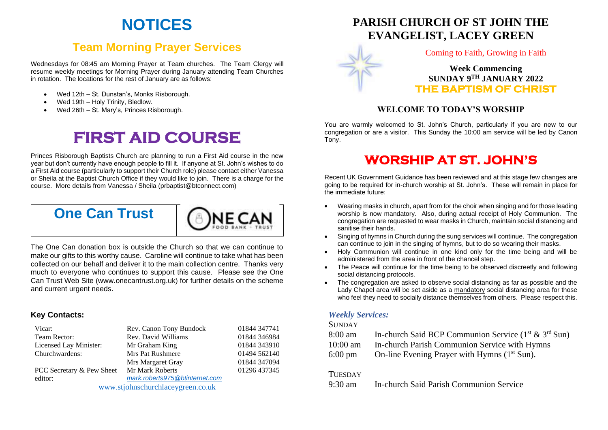# **NOTICES**

### **Team Morning Prayer Services**

Wednesdays for 08:45 am Morning Prayer at Team churches. The Team Clergy will resume weekly meetings for Morning Prayer during January attending Team Churches in rotation. The locations for the rest of January are as follows:

- Wed 12th St. Dunstan's, Monks Risborough.
- Wed 19th Holy Trinity, Bledlow.
- Wed 26th St. Mary's, Princes Risborough.

# **FIRST AID COURSE**

Princes Risborough Baptists Church are planning to run a First Aid course in the new year but don't currently have enough people to fill it. If anyone at St. John's wishes to do a First Aid course (particularly to support their Church role) please contact either Vanessa or Sheila at the Baptist Church Office if they would like to join. There is a charge for the course. More details from Vanessa / Sheila (prbaptist@btconnect.com)

## **One Can Trust**



The One Can donation box is outside the Church so that we can continue to make our gifts to this worthy cause. Caroline will continue to take what has been collected on our behalf and deliver it to the main collection centre. Thanks very much to everyone who continues to support this cause. Please see the One Can Trust Web Site (www.onecantrust.org.uk) for further details on the scheme and current urgent needs.

#### **Key Contacts:**

| Vicar:                            | Rev. Canon Tony Bundock        | 01844 347741 |
|-----------------------------------|--------------------------------|--------------|
| Team Rector:                      | Rev. David Williams            | 01844 346984 |
| Licensed Lay Minister:            | Mr Graham King                 | 01844 343910 |
| Churchwardens:                    | Mrs Pat Rushmere               | 01494 562140 |
|                                   | Mrs Margaret Gray              | 01844 347094 |
| PCC Secretary & Pew Sheet         | Mr Mark Roberts                | 01296 437345 |
| editor:                           | mark.roberts975@btinternet.com |              |
| www.stjohnschurchlaceygreen.co.uk |                                |              |

### **PARISH CHURCH OF ST JOHN THE EVANGELIST, LACEY GREEN**



Coming to Faith, Growing in Faith

**Week Commencing SUNDAY 9 TH JANUARY 2022 THE BAPTISM OF CHRIST** 

#### **WELCOME TO TODAY'S WORSHIP**

You are warmly welcomed to St. John's Church, particularly if you are new to our congregation or are a visitor. This Sunday the 10:00 am service will be led by Canon Tony.

## **WORSHIP AT ST. JOHN'S**

Recent UK Government Guidance has been reviewed and at this stage few changes are going to be required for in-church worship at St. John's. These will remain in place for the immediate future:

- Wearing masks in church, apart from for the choir when singing and for those leading worship is now mandatory. Also, during actual receipt of Holy Communion. The congregation are requested to wear masks in Church, maintain social distancing and sanitise their hands.
- Singing of hymns in Church during the sung services will continue. The congregation can continue to join in the singing of hymns, but to do so wearing their masks.
- Holy Communion will continue in one kind only for the time being and will be administered from the area in front of the chancel step.
- The Peace will continue for the time being to be observed discreetly and following social distancing protocols.
- The congregation are asked to observe social distancing as far as possible and the Lady Chapel area will be set aside as a mandatory social distancing area for those who feel they need to socially distance themselves from others. Please respect this.

#### *Weekly Services:*

#### **SUNDAY**

- 8:00 am In-church Said BCP Communion Service  $(1<sup>st</sup> \& 3<sup>rd</sup> Sun)$
- 10:00 am In-church Parish Communion Service with Hymns
- 6:00 pm On-line Evening Prayer with Hymns  $(1<sup>st</sup> Sun)$ .

#### **TUESDAY**

9:30 am In-church Said Parish Communion Service